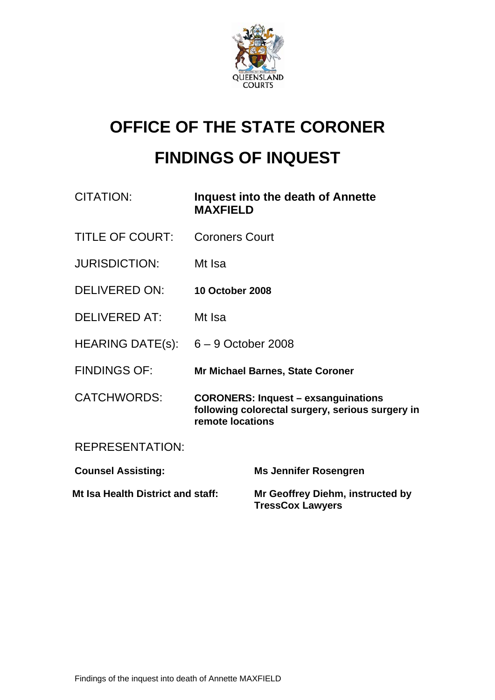

# **OFFICE OF THE STATE CORONER FINDINGS OF INQUEST**

| CITATION:                             | <b>MAXFIELD</b>                                                                                                    | Inquest into the death of Annette                           |
|---------------------------------------|--------------------------------------------------------------------------------------------------------------------|-------------------------------------------------------------|
| <b>TITLE OF COURT:</b>                | <b>Coroners Court</b>                                                                                              |                                                             |
| <b>JURISDICTION:</b>                  | Mt Isa                                                                                                             |                                                             |
| <b>DELIVERED ON:</b>                  | <b>10 October 2008</b>                                                                                             |                                                             |
| <b>DELIVERED AT:</b>                  | Mt Isa                                                                                                             |                                                             |
| HEARING DATE(s): $6 - 9$ October 2008 |                                                                                                                    |                                                             |
| <b>FINDINGS OF:</b>                   |                                                                                                                    | <b>Mr Michael Barnes, State Coroner</b>                     |
| <b>CATCHWORDS:</b>                    | <b>CORONERS: Inquest - exsanguinations</b><br>following colorectal surgery, serious surgery in<br>remote locations |                                                             |
| <b>REPRESENTATION:</b>                |                                                                                                                    |                                                             |
| <b>Counsel Assisting:</b>             |                                                                                                                    | <b>Ms Jennifer Rosengren</b>                                |
| Mt Isa Health District and staff:     |                                                                                                                    | Mr Geoffrey Diehm, instructed by<br><b>TressCox Lawyers</b> |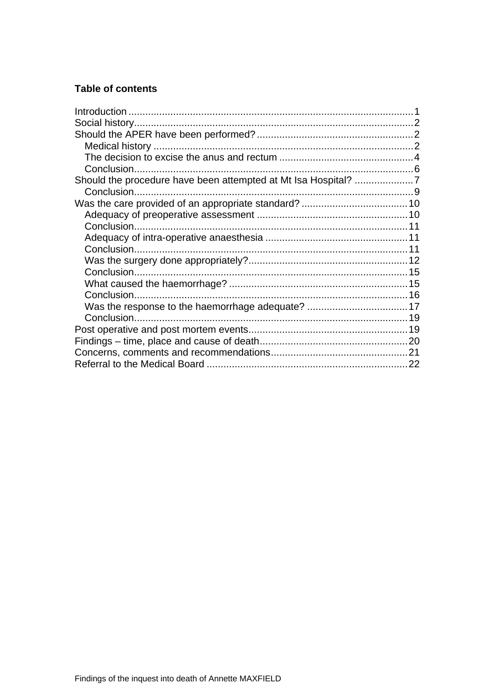## **Table of contents**

| Was the response to the haemorrhage adequate?  17 |  |
|---------------------------------------------------|--|
|                                                   |  |
|                                                   |  |
|                                                   |  |
|                                                   |  |
|                                                   |  |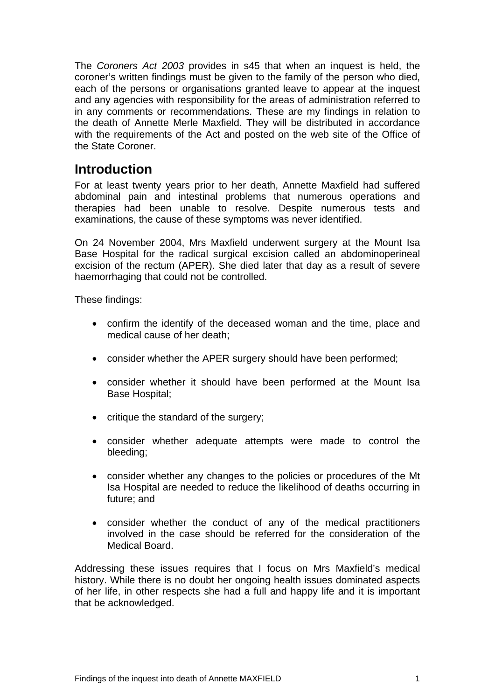<span id="page-2-0"></span>The *Coroners Act 2003* provides in s45 that when an inquest is held, the coroner's written findings must be given to the family of the person who died, each of the persons or organisations granted leave to appear at the inquest and any agencies with responsibility for the areas of administration referred to in any comments or recommendations. These are my findings in relation to the death of Annette Merle Maxfield. They will be distributed in accordance with the requirements of the Act and posted on the web site of the Office of the State Coroner.

# **Introduction**

For at least twenty years prior to her death, Annette Maxfield had suffered abdominal pain and intestinal problems that numerous operations and therapies had been unable to resolve. Despite numerous tests and examinations, the cause of these symptoms was never identified.

On 24 November 2004, Mrs Maxfield underwent surgery at the Mount Isa Base Hospital for the radical surgical excision called an abdominoperineal excision of the rectum (APER). She died later that day as a result of severe haemorrhaging that could not be controlled.

These findings:

- confirm the identify of the deceased woman and the time, place and medical cause of her death;
- consider whether the APER surgery should have been performed;
- consider whether it should have been performed at the Mount Isa Base Hospital;
- critique the standard of the surgery;
- consider whether adequate attempts were made to control the bleeding;
- consider whether any changes to the policies or procedures of the Mt Isa Hospital are needed to reduce the likelihood of deaths occurring in future; and
- consider whether the conduct of any of the medical practitioners involved in the case should be referred for the consideration of the Medical Board.

Addressing these issues requires that I focus on Mrs Maxfield's medical history. While there is no doubt her ongoing health issues dominated aspects of her life, in other respects she had a full and happy life and it is important that be acknowledged.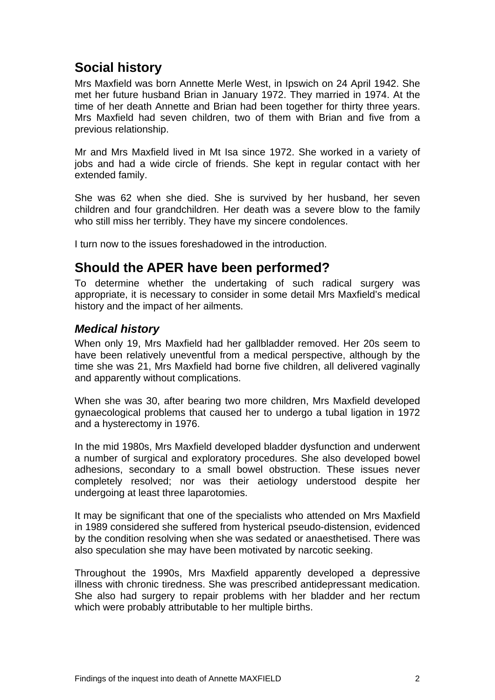# <span id="page-3-0"></span>**Social history**

Mrs Maxfield was born Annette Merle West, in Ipswich on 24 April 1942. She met her future husband Brian in January 1972. They married in 1974. At the time of her death Annette and Brian had been together for thirty three years. Mrs Maxfield had seven children, two of them with Brian and five from a previous relationship.

Mr and Mrs Maxfield lived in Mt Isa since 1972. She worked in a variety of jobs and had a wide circle of friends. She kept in regular contact with her extended family.

She was 62 when she died. She is survived by her husband, her seven children and four grandchildren. Her death was a severe blow to the family who still miss her terribly. They have my sincere condolences.

I turn now to the issues foreshadowed in the introduction.

# **Should the APER have been performed?**

To determine whether the undertaking of such radical surgery was appropriate, it is necessary to consider in some detail Mrs Maxfield's medical history and the impact of her ailments.

#### *Medical history*

When only 19, Mrs Maxfield had her gallbladder removed. Her 20s seem to have been relatively uneventful from a medical perspective, although by the time she was 21, Mrs Maxfield had borne five children, all delivered vaginally and apparently without complications.

When she was 30, after bearing two more children, Mrs Maxfield developed gynaecological problems that caused her to undergo a tubal ligation in 1972 and a hysterectomy in 1976.

In the mid 1980s, Mrs Maxfield developed bladder dysfunction and underwent a number of surgical and exploratory procedures. She also developed bowel adhesions, secondary to a small bowel obstruction. These issues never completely resolved; nor was their aetiology understood despite her undergoing at least three laparotomies.

It may be significant that one of the specialists who attended on Mrs Maxfield in 1989 considered she suffered from hysterical pseudo-distension, evidenced by the condition resolving when she was sedated or anaesthetised. There was also speculation she may have been motivated by narcotic seeking.

Throughout the 1990s, Mrs Maxfield apparently developed a depressive illness with chronic tiredness. She was prescribed antidepressant medication. She also had surgery to repair problems with her bladder and her rectum which were probably attributable to her multiple births.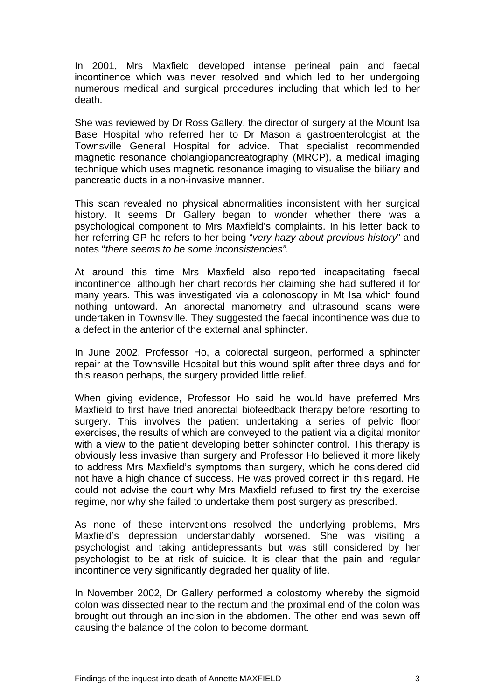In 2001, Mrs Maxfield developed intense perineal pain and faecal incontinence which was never resolved and which led to her undergoing numerous medical and surgical procedures including that which led to her death.

She was reviewed by Dr Ross Gallery, the director of surgery at the Mount Isa Base Hospital who referred her to Dr Mason a gastroenterologist at the Townsville General Hospital for advice. That specialist recommended magnetic resonance cholangiopancreatography (MRCP), a [medical imaging](http://en.wikipedia.org/wiki/Medical_imaging) technique which uses [magnetic resonance imaging](http://en.wikipedia.org/wiki/Magnetic_resonance_imaging) to visualise the [biliary](http://en.wikipedia.org/wiki/Biliary_duct) and [pancreatic ducts](http://en.wikipedia.org/wiki/Pancreatic_duct) in a non-invasive manner.

This scan revealed no physical abnormalities inconsistent with her surgical history. It seems Dr Gallery began to wonder whether there was a psychological component to Mrs Maxfield's complaints. In his letter back to her referring GP he refers to her being "*very hazy about previous history*" and notes "*there seems to be some inconsistencies".*

At around this time Mrs Maxfield also reported incapacitating faecal incontinence, although her chart records her claiming she had suffered it for many years. This was investigated via a colonoscopy in Mt Isa which found nothing untoward. An anorectal manometry and ultrasound scans were undertaken in Townsville. They suggested the faecal incontinence was due to a defect in the anterior of the external anal sphincter.

In June 2002, Professor Ho, a colorectal surgeon, performed a sphincter repair at the Townsville Hospital but this wound split after three days and for this reason perhaps, the surgery provided little relief.

When giving evidence, Professor Ho said he would have preferred Mrs Maxfield to first have tried anorectal biofeedback therapy before resorting to surgery. This involves the patient undertaking a series of pelvic floor exercises, the results of which are conveyed to the patient via a digital monitor with a view to the patient developing better sphincter control. This therapy is obviously less invasive than surgery and Professor Ho believed it more likely to address Mrs Maxfield's symptoms than surgery, which he considered did not have a high chance of success. He was proved correct in this regard. He could not advise the court why Mrs Maxfield refused to first try the exercise regime, nor why she failed to undertake them post surgery as prescribed.

As none of these interventions resolved the underlying problems, Mrs Maxfield's depression understandably worsened. She was visiting a psychologist and taking antidepressants but was still considered by her psychologist to be at risk of suicide. It is clear that the pain and regular incontinence very significantly degraded her quality of life.

In November 2002, Dr Gallery performed a colostomy whereby the sigmoid colon was dissected near to the rectum and the proximal end of the colon was brought out through an incision in the abdomen. The other end was sewn off causing the balance of the colon to become dormant.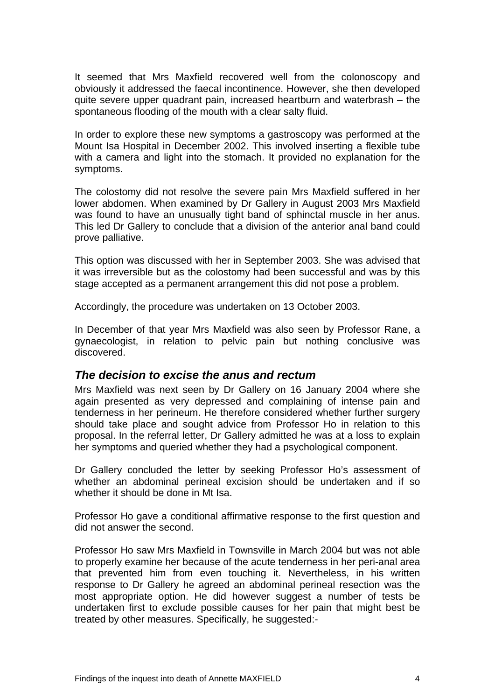<span id="page-5-0"></span>It seemed that Mrs Maxfield recovered well from the colonoscopy and obviously it addressed the faecal incontinence. However, she then developed quite severe upper quadrant pain, increased heartburn and waterbrash – the spontaneous flooding of the mouth with a clear salty fluid.

In order to explore these new symptoms a gastroscopy was performed at the Mount Isa Hospital in December 2002. This involved inserting a flexible tube with a camera and light into the stomach. It provided no explanation for the symptoms.

The colostomy did not resolve the severe pain Mrs Maxfield suffered in her lower abdomen. When examined by Dr Gallery in August 2003 Mrs Maxfield was found to have an unusually tight band of sphinctal muscle in her anus. This led Dr Gallery to conclude that a division of the anterior anal band could prove palliative.

This option was discussed with her in September 2003. She was advised that it was irreversible but as the colostomy had been successful and was by this stage accepted as a permanent arrangement this did not pose a problem.

Accordingly, the procedure was undertaken on 13 October 2003.

In December of that year Mrs Maxfield was also seen by Professor Rane, a gynaecologist, in relation to pelvic pain but nothing conclusive was discovered.

#### *The decision to excise the anus and rectum*

Mrs Maxfield was next seen by Dr Gallery on 16 January 2004 where she again presented as very depressed and complaining of intense pain and tenderness in her perineum. He therefore considered whether further surgery should take place and sought advice from Professor Ho in relation to this proposal. In the referral letter, Dr Gallery admitted he was at a loss to explain her symptoms and queried whether they had a psychological component.

Dr Gallery concluded the letter by seeking Professor Ho's assessment of whether an abdominal perineal excision should be undertaken and if so whether it should be done in Mt Isa.

Professor Ho gave a conditional affirmative response to the first question and did not answer the second.

Professor Ho saw Mrs Maxfield in Townsville in March 2004 but was not able to properly examine her because of the acute tenderness in her peri-anal area that prevented him from even touching it. Nevertheless, in his written response to Dr Gallery he agreed an abdominal perineal resection was the most appropriate option. He did however suggest a number of tests be undertaken first to exclude possible causes for her pain that might best be treated by other measures. Specifically, he suggested:-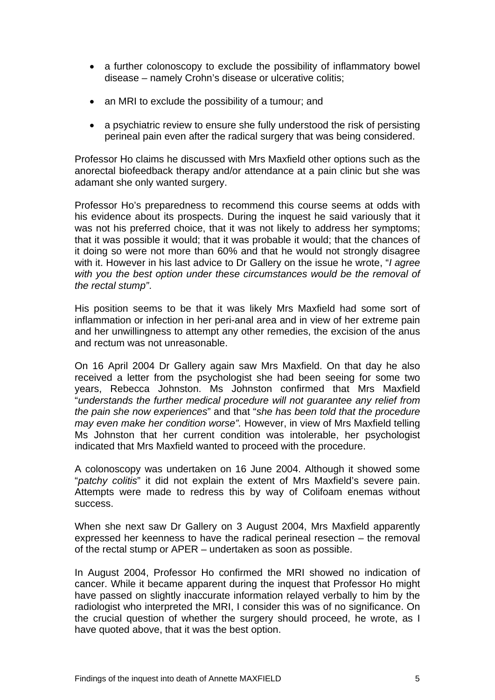- a further colonoscopy to exclude the possibility of inflammatory bowel disease – namely Crohn's disease or ulcerative colitis;
- an MRI to exclude the possibility of a tumour; and
- a psychiatric review to ensure she fully understood the risk of persisting perineal pain even after the radical surgery that was being considered.

Professor Ho claims he discussed with Mrs Maxfield other options such as the anorectal biofeedback therapy and/or attendance at a pain clinic but she was adamant she only wanted surgery.

Professor Ho's preparedness to recommend this course seems at odds with his evidence about its prospects. During the inquest he said variously that it was not his preferred choice, that it was not likely to address her symptoms; that it was possible it would; that it was probable it would; that the chances of it doing so were not more than 60% and that he would not strongly disagree with it. However in his last advice to Dr Gallery on the issue he wrote, "*I agree with you the best option under these circumstances would be the removal of the rectal stump"*.

His position seems to be that it was likely Mrs Maxfield had some sort of inflammation or infection in her peri-anal area and in view of her extreme pain and her unwillingness to attempt any other remedies, the excision of the anus and rectum was not unreasonable.

On 16 April 2004 Dr Gallery again saw Mrs Maxfield. On that day he also received a letter from the psychologist she had been seeing for some two years, Rebecca Johnston. Ms Johnston confirmed that Mrs Maxfield "*understands the further medical procedure will not guarantee any relief from the pain she now experiences*" and that "*she has been told that the procedure may even make her condition worse".* However, in view of Mrs Maxfield telling Ms Johnston that her current condition was intolerable, her psychologist indicated that Mrs Maxfield wanted to proceed with the procedure.

A colonoscopy was undertaken on 16 June 2004. Although it showed some "*patchy colitis*" it did not explain the extent of Mrs Maxfield's severe pain. Attempts were made to redress this by way of Colifoam enemas without success.

When she next saw Dr Gallery on 3 August 2004, Mrs Maxfield apparently expressed her keenness to have the radical perineal resection – the removal of the rectal stump or APER – undertaken as soon as possible.

In August 2004, Professor Ho confirmed the MRI showed no indication of cancer. While it became apparent during the inquest that Professor Ho might have passed on slightly inaccurate information relayed verbally to him by the radiologist who interpreted the MRI, I consider this was of no significance. On the crucial question of whether the surgery should proceed, he wrote, as I have quoted above, that it was the best option.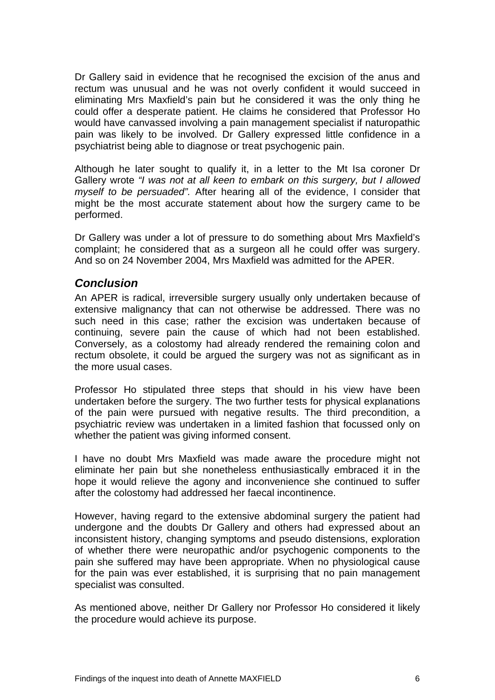<span id="page-7-0"></span>Dr Gallery said in evidence that he recognised the excision of the anus and rectum was unusual and he was not overly confident it would succeed in eliminating Mrs Maxfield's pain but he considered it was the only thing he could offer a desperate patient. He claims he considered that Professor Ho would have canvassed involving a pain management specialist if naturopathic pain was likely to be involved. Dr Gallery expressed little confidence in a psychiatrist being able to diagnose or treat psychogenic pain.

Although he later sought to qualify it, in a letter to the Mt Isa coroner Dr Gallery wrote *"I was not at all keen to embark on this surgery, but I allowed myself to be persuaded".* After hearing all of the evidence, I consider that might be the most accurate statement about how the surgery came to be performed.

Dr Gallery was under a lot of pressure to do something about Mrs Maxfield's complaint; he considered that as a surgeon all he could offer was surgery. And so on 24 November 2004, Mrs Maxfield was admitted for the APER.

#### *Conclusion*

An APER is radical, irreversible surgery usually only undertaken because of extensive malignancy that can not otherwise be addressed. There was no such need in this case; rather the excision was undertaken because of continuing, severe pain the cause of which had not been established. Conversely, as a colostomy had already rendered the remaining colon and rectum obsolete, it could be argued the surgery was not as significant as in the more usual cases.

Professor Ho stipulated three steps that should in his view have been undertaken before the surgery. The two further tests for physical explanations of the pain were pursued with negative results. The third precondition, a psychiatric review was undertaken in a limited fashion that focussed only on whether the patient was giving informed consent.

I have no doubt Mrs Maxfield was made aware the procedure might not eliminate her pain but she nonetheless enthusiastically embraced it in the hope it would relieve the agony and inconvenience she continued to suffer after the colostomy had addressed her faecal incontinence.

However, having regard to the extensive abdominal surgery the patient had undergone and the doubts Dr Gallery and others had expressed about an inconsistent history, changing symptoms and pseudo distensions, exploration of whether there were neuropathic and/or psychogenic components to the pain she suffered may have been appropriate. When no physiological cause for the pain was ever established, it is surprising that no pain management specialist was consulted.

As mentioned above, neither Dr Gallery nor Professor Ho considered it likely the procedure would achieve its purpose.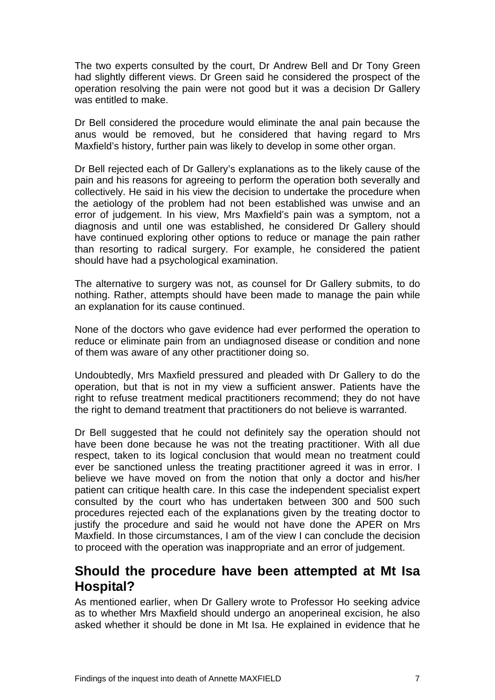<span id="page-8-0"></span>The two experts consulted by the court, Dr Andrew Bell and Dr Tony Green had slightly different views. Dr Green said he considered the prospect of the operation resolving the pain were not good but it was a decision Dr Gallery was entitled to make.

Dr Bell considered the procedure would eliminate the anal pain because the anus would be removed, but he considered that having regard to Mrs Maxfield's history, further pain was likely to develop in some other organ.

Dr Bell rejected each of Dr Gallery's explanations as to the likely cause of the pain and his reasons for agreeing to perform the operation both severally and collectively. He said in his view the decision to undertake the procedure when the aetiology of the problem had not been established was unwise and an error of judgement. In his view, Mrs Maxfield's pain was a symptom, not a diagnosis and until one was established, he considered Dr Gallery should have continued exploring other options to reduce or manage the pain rather than resorting to radical surgery. For example, he considered the patient should have had a psychological examination.

The alternative to surgery was not, as counsel for Dr Gallery submits, to do nothing. Rather, attempts should have been made to manage the pain while an explanation for its cause continued.

None of the doctors who gave evidence had ever performed the operation to reduce or eliminate pain from an undiagnosed disease or condition and none of them was aware of any other practitioner doing so.

Undoubtedly, Mrs Maxfield pressured and pleaded with Dr Gallery to do the operation, but that is not in my view a sufficient answer. Patients have the right to refuse treatment medical practitioners recommend; they do not have the right to demand treatment that practitioners do not believe is warranted.

Dr Bell suggested that he could not definitely say the operation should not have been done because he was not the treating practitioner. With all due respect, taken to its logical conclusion that would mean no treatment could ever be sanctioned unless the treating practitioner agreed it was in error. I believe we have moved on from the notion that only a doctor and his/her patient can critique health care. In this case the independent specialist expert consulted by the court who has undertaken between 300 and 500 such procedures rejected each of the explanations given by the treating doctor to justify the procedure and said he would not have done the APER on Mrs Maxfield. In those circumstances, I am of the view I can conclude the decision to proceed with the operation was inappropriate and an error of judgement.

# **Should the procedure have been attempted at Mt Isa Hospital?**

As mentioned earlier, when Dr Gallery wrote to Professor Ho seeking advice as to whether Mrs Maxfield should undergo an anoperineal excision, he also asked whether it should be done in Mt Isa. He explained in evidence that he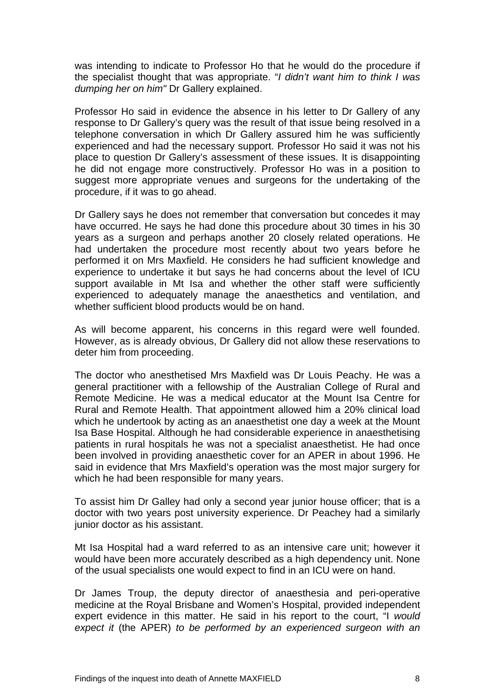was intending to indicate to Professor Ho that he would do the procedure if the specialist thought that was appropriate. "*I didn't want him to think I was dumping her on him"* Dr Gallery explained.

Professor Ho said in evidence the absence in his letter to Dr Gallery of any response to Dr Gallery's query was the result of that issue being resolved in a telephone conversation in which Dr Gallery assured him he was sufficiently experienced and had the necessary support. Professor Ho said it was not his place to question Dr Gallery's assessment of these issues. It is disappointing he did not engage more constructively. Professor Ho was in a position to suggest more appropriate venues and surgeons for the undertaking of the procedure, if it was to go ahead.

Dr Gallery says he does not remember that conversation but concedes it may have occurred. He says he had done this procedure about 30 times in his 30 years as a surgeon and perhaps another 20 closely related operations. He had undertaken the procedure most recently about two years before he performed it on Mrs Maxfield. He considers he had sufficient knowledge and experience to undertake it but says he had concerns about the level of ICU support available in Mt Isa and whether the other staff were sufficiently experienced to adequately manage the anaesthetics and ventilation, and whether sufficient blood products would be on hand.

As will become apparent, his concerns in this regard were well founded. However, as is already obvious, Dr Gallery did not allow these reservations to deter him from proceeding.

The doctor who anesthetised Mrs Maxfield was Dr Louis Peachy. He was a general practitioner with a fellowship of the Australian College of Rural and Remote Medicine. He was a medical educator at the Mount Isa Centre for Rural and Remote Health. That appointment allowed him a 20% clinical load which he undertook by acting as an anaesthetist one day a week at the Mount Isa Base Hospital. Although he had considerable experience in anaesthetising patients in rural hospitals he was not a specialist anaesthetist. He had once been involved in providing anaesthetic cover for an APER in about 1996. He said in evidence that Mrs Maxfield's operation was the most major surgery for which he had been responsible for many years.

To assist him Dr Galley had only a second year junior house officer; that is a doctor with two years post university experience. Dr Peachey had a similarly junior doctor as his assistant.

Mt Isa Hospital had a ward referred to as an intensive care unit; however it would have been more accurately described as a high dependency unit. None of the usual specialists one would expect to find in an ICU were on hand.

Dr James Troup, the deputy director of anaesthesia and peri-operative medicine at the Royal Brisbane and Women's Hospital, provided independent expert evidence in this matter. He said in his report to the court, "I *would expect it* (the APER) *to be performed by an experienced surgeon with an*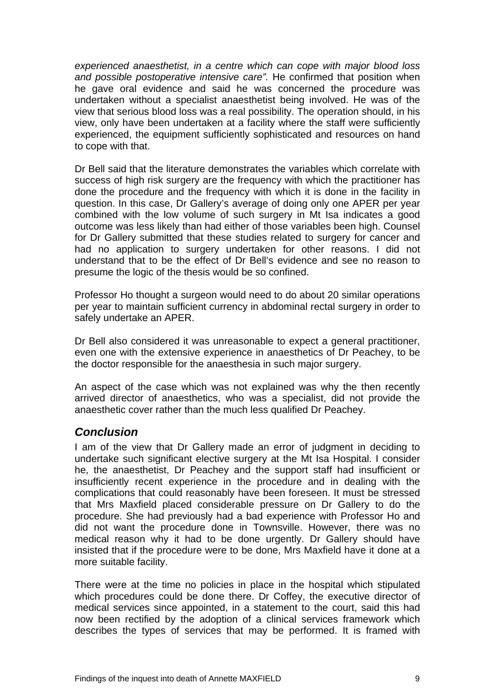<span id="page-10-0"></span>*experienced anaesthetist, in a centre which can cope with major blood loss and possible postoperative intensive care".* He confirmed that position when he gave oral evidence and said he was concerned the procedure was undertaken without a specialist anaesthetist being involved. He was of the view that serious blood loss was a real possibility. The operation should, in his view, only have been undertaken at a facility where the staff were sufficiently experienced, the equipment sufficiently sophisticated and resources on hand to cope with that.

Dr Bell said that the literature demonstrates the variables which correlate with success of high risk surgery are the frequency with which the practitioner has done the procedure and the frequency with which it is done in the facility in question. In this case, Dr Gallery's average of doing only one APER per year combined with the low volume of such surgery in Mt Isa indicates a good outcome was less likely than had either of those variables been high. Counsel for Dr Gallery submitted that these studies related to surgery for cancer and had no application to surgery undertaken for other reasons. I did not understand that to be the effect of Dr Bell's evidence and see no reason to presume the logic of the thesis would be so confined.

Professor Ho thought a surgeon would need to do about 20 similar operations per year to maintain sufficient currency in abdominal rectal surgery in order to safely undertake an APER.

Dr Bell also considered it was unreasonable to expect a general practitioner, even one with the extensive experience in anaesthetics of Dr Peachey, to be the doctor responsible for the anaesthesia in such major surgery.

An aspect of the case which was not explained was why the then recently arrived director of anaesthetics, who was a specialist, did not provide the anaesthetic cover rather than the much less qualified Dr Peachey.

## *Conclusion*

I am of the view that Dr Gallery made an error of judgment in deciding to undertake such significant elective surgery at the Mt Isa Hospital. I consider he, the anaesthetist, Dr Peachey and the support staff had insufficient or insufficiently recent experience in the procedure and in dealing with the complications that could reasonably have been foreseen. It must be stressed that Mrs Maxfield placed considerable pressure on Dr Gallery to do the procedure. She had previously had a bad experience with Professor Ho and did not want the procedure done in Townsville. However, there was no medical reason why it had to be done urgently. Dr Gallery should have insisted that if the procedure were to be done, Mrs Maxfield have it done at a more suitable facility.

There were at the time no policies in place in the hospital which stipulated which procedures could be done there. Dr Coffey, the executive director of medical services since appointed, in a statement to the court, said this had now been rectified by the adoption of a clinical services framework which describes the types of services that may be performed. It is framed with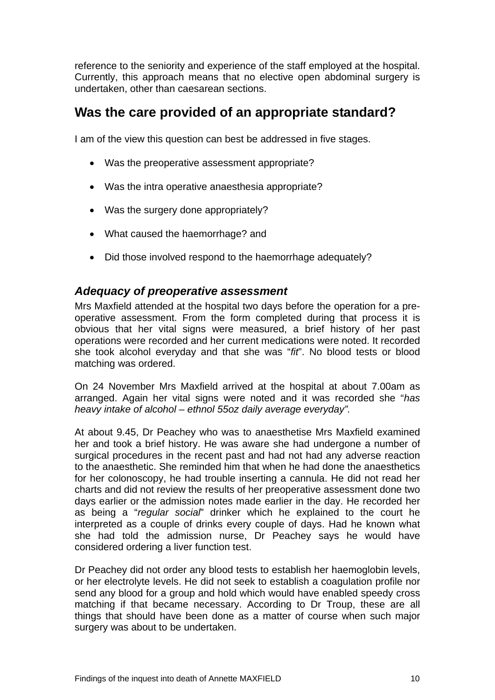<span id="page-11-0"></span>reference to the seniority and experience of the staff employed at the hospital. Currently, this approach means that no elective open abdominal surgery is undertaken, other than caesarean sections.

# **Was the care provided of an appropriate standard?**

I am of the view this question can best be addressed in five stages.

- Was the preoperative assessment appropriate?
- Was the intra operative anaesthesia appropriate?
- Was the surgery done appropriately?
- What caused the haemorrhage? and
- Did those involved respond to the haemorrhage adequately?

#### *Adequacy of preoperative assessment*

Mrs Maxfield attended at the hospital two days before the operation for a preoperative assessment. From the form completed during that process it is obvious that her vital signs were measured, a brief history of her past operations were recorded and her current medications were noted. It recorded she took alcohol everyday and that she was "*fit*". No blood tests or blood matching was ordered.

On 24 November Mrs Maxfield arrived at the hospital at about 7.00am as arranged. Again her vital signs were noted and it was recorded she "*has heavy intake of alcohol – ethnol 55oz daily average everyday".* 

At about 9.45, Dr Peachey who was to anaesthetise Mrs Maxfield examined her and took a brief history. He was aware she had undergone a number of surgical procedures in the recent past and had not had any adverse reaction to the anaesthetic. She reminded him that when he had done the anaesthetics for her colonoscopy, he had trouble inserting a cannula. He did not read her charts and did not review the results of her preoperative assessment done two days earlier or the admission notes made earlier in the day. He recorded her as being a "*regular social*" drinker which he explained to the court he interpreted as a couple of drinks every couple of days. Had he known what she had told the admission nurse, Dr Peachey says he would have considered ordering a liver function test.

Dr Peachey did not order any blood tests to establish her haemoglobin levels, or her electrolyte levels. He did not seek to establish a coagulation profile nor send any blood for a group and hold which would have enabled speedy cross matching if that became necessary. According to Dr Troup, these are all things that should have been done as a matter of course when such major surgery was about to be undertaken.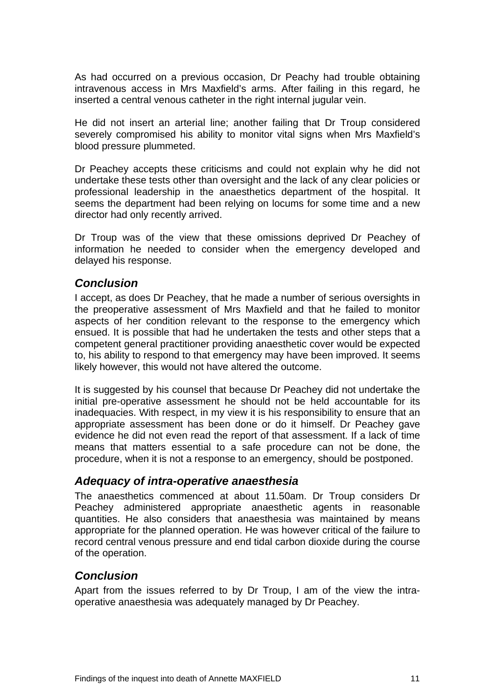<span id="page-12-0"></span>As had occurred on a previous occasion, Dr Peachy had trouble obtaining intravenous access in Mrs Maxfield's arms. After failing in this regard, he inserted a central venous catheter in the right internal jugular vein.

He did not insert an arterial line; another failing that Dr Troup considered severely compromised his ability to monitor vital signs when Mrs Maxfield's blood pressure plummeted.

Dr Peachey accepts these criticisms and could not explain why he did not undertake these tests other than oversight and the lack of any clear policies or professional leadership in the anaesthetics department of the hospital. It seems the department had been relying on locums for some time and a new director had only recently arrived.

Dr Troup was of the view that these omissions deprived Dr Peachey of information he needed to consider when the emergency developed and delayed his response.

#### *Conclusion*

I accept, as does Dr Peachey, that he made a number of serious oversights in the preoperative assessment of Mrs Maxfield and that he failed to monitor aspects of her condition relevant to the response to the emergency which ensued. It is possible that had he undertaken the tests and other steps that a competent general practitioner providing anaesthetic cover would be expected to, his ability to respond to that emergency may have been improved. It seems likely however, this would not have altered the outcome.

It is suggested by his counsel that because Dr Peachey did not undertake the initial pre-operative assessment he should not be held accountable for its inadequacies. With respect, in my view it is his responsibility to ensure that an appropriate assessment has been done or do it himself. Dr Peachey gave evidence he did not even read the report of that assessment. If a lack of time means that matters essential to a safe procedure can not be done, the procedure, when it is not a response to an emergency, should be postponed.

#### *Adequacy of intra-operative anaesthesia*

The anaesthetics commenced at about 11.50am. Dr Troup considers Dr Peachey administered appropriate anaesthetic agents in reasonable quantities. He also considers that anaesthesia was maintained by means appropriate for the planned operation. He was however critical of the failure to record central venous pressure and end tidal carbon dioxide during the course of the operation.

## *Conclusion*

Apart from the issues referred to by Dr Troup, I am of the view the intraoperative anaesthesia was adequately managed by Dr Peachey.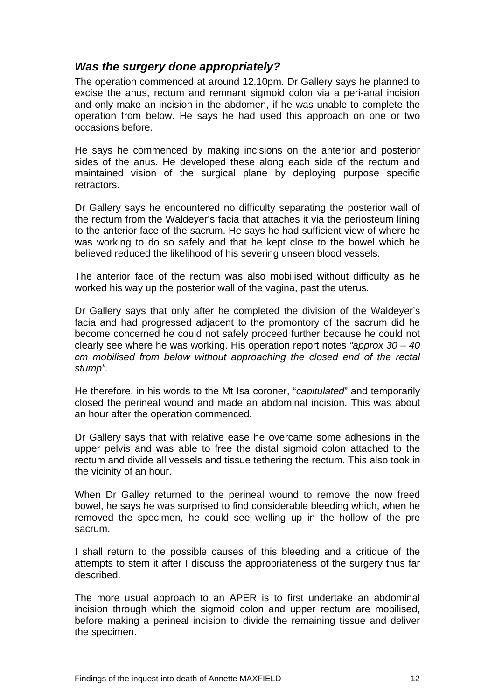#### <span id="page-13-0"></span>*Was the surgery done appropriately?*

The operation commenced at around 12.10pm. Dr Gallery says he planned to excise the anus, rectum and remnant sigmoid colon via a peri-anal incision and only make an incision in the abdomen, if he was unable to complete the operation from below. He says he had used this approach on one or two occasions before.

He says he commenced by making incisions on the anterior and posterior sides of the anus. He developed these along each side of the rectum and maintained vision of the surgical plane by deploying purpose specific retractors.

Dr Gallery says he encountered no difficulty separating the posterior wall of the rectum from the Waldeyer's facia that attaches it via the periosteum lining to the anterior face of the sacrum. He says he had sufficient view of where he was working to do so safely and that he kept close to the bowel which he believed reduced the likelihood of his severing unseen blood vessels.

The anterior face of the rectum was also mobilised without difficulty as he worked his way up the posterior wall of the vagina, past the uterus.

Dr Gallery says that only after he completed the division of the Waldeyer's facia and had progressed adjacent to the promontory of the sacrum did he become concerned he could not safely proceed further because he could not clearly see where he was working. His operation report notes *"approx 30 – 40 cm mobilised from below without approaching the closed end of the rectal stump".* 

He therefore, in his words to the Mt Isa coroner, "*capitulated*" and temporarily closed the perineal wound and made an abdominal incision. This was about an hour after the operation commenced.

Dr Gallery says that with relative ease he overcame some adhesions in the upper pelvis and was able to free the distal sigmoid colon attached to the rectum and divide all vessels and tissue tethering the rectum. This also took in the vicinity of an hour.

When Dr Galley returned to the perineal wound to remove the now freed bowel, he says he was surprised to find considerable bleeding which, when he removed the specimen, he could see welling up in the hollow of the pre sacrum.

I shall return to the possible causes of this bleeding and a critique of the attempts to stem it after I discuss the appropriateness of the surgery thus far described.

The more usual approach to an APER is to first undertake an abdominal incision through which the sigmoid colon and upper rectum are mobilised, before making a perineal incision to divide the remaining tissue and deliver the specimen.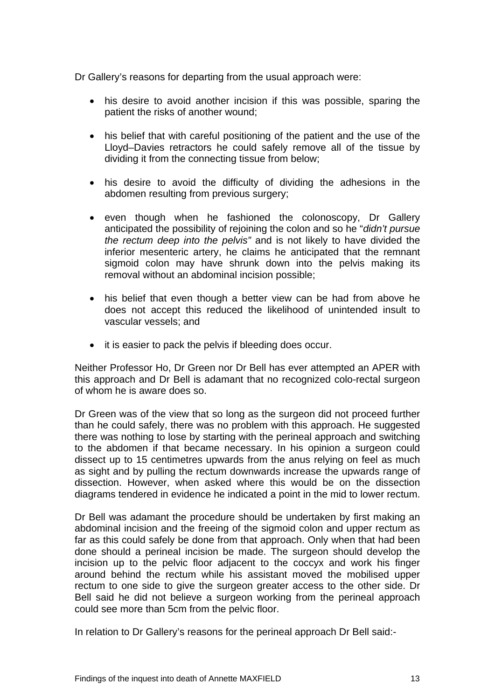Dr Gallery's reasons for departing from the usual approach were:

- his desire to avoid another incision if this was possible, sparing the patient the risks of another wound;
- his belief that with careful positioning of the patient and the use of the Lloyd–Davies retractors he could safely remove all of the tissue by dividing it from the connecting tissue from below;
- his desire to avoid the difficulty of dividing the adhesions in the abdomen resulting from previous surgery;
- even though when he fashioned the colonoscopy, Dr Gallery anticipated the possibility of rejoining the colon and so he "*didn't pursue the rectum deep into the pelvis"* and is not likely to have divided the inferior mesenteric artery, he claims he anticipated that the remnant sigmoid colon may have shrunk down into the pelvis making its removal without an abdominal incision possible;
- his belief that even though a better view can be had from above he does not accept this reduced the likelihood of unintended insult to vascular vessels; and
- it is easier to pack the pelvis if bleeding does occur.

Neither Professor Ho, Dr Green nor Dr Bell has ever attempted an APER with this approach and Dr Bell is adamant that no recognized colo-rectal surgeon of whom he is aware does so.

Dr Green was of the view that so long as the surgeon did not proceed further than he could safely, there was no problem with this approach. He suggested there was nothing to lose by starting with the perineal approach and switching to the abdomen if that became necessary. In his opinion a surgeon could dissect up to 15 centimetres upwards from the anus relying on feel as much as sight and by pulling the rectum downwards increase the upwards range of dissection. However, when asked where this would be on the dissection diagrams tendered in evidence he indicated a point in the mid to lower rectum.

Dr Bell was adamant the procedure should be undertaken by first making an abdominal incision and the freeing of the sigmoid colon and upper rectum as far as this could safely be done from that approach. Only when that had been done should a perineal incision be made. The surgeon should develop the incision up to the pelvic floor adjacent to the coccyx and work his finger around behind the rectum while his assistant moved the mobilised upper rectum to one side to give the surgeon greater access to the other side. Dr Bell said he did not believe a surgeon working from the perineal approach could see more than 5cm from the pelvic floor.

In relation to Dr Gallery's reasons for the perineal approach Dr Bell said:-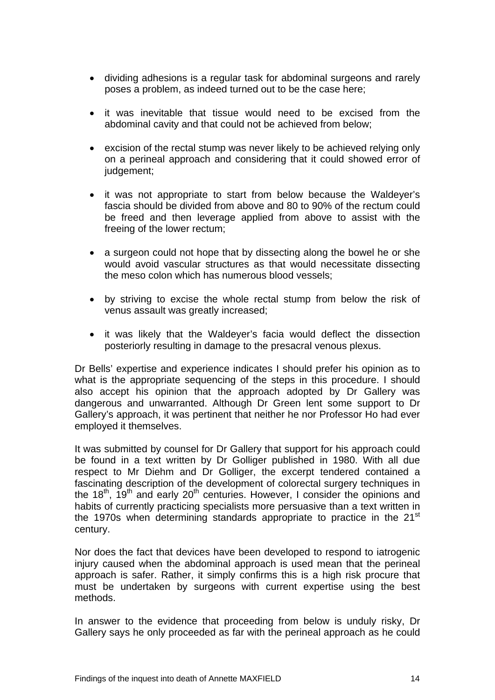- dividing adhesions is a regular task for abdominal surgeons and rarely poses a problem, as indeed turned out to be the case here;
- it was inevitable that tissue would need to be excised from the abdominal cavity and that could not be achieved from below;
- excision of the rectal stump was never likely to be achieved relying only on a perineal approach and considering that it could showed error of judgement;
- it was not appropriate to start from below because the Waldeyer's fascia should be divided from above and 80 to 90% of the rectum could be freed and then leverage applied from above to assist with the freeing of the lower rectum;
- a surgeon could not hope that by dissecting along the bowel he or she would avoid vascular structures as that would necessitate dissecting the meso colon which has numerous blood vessels;
- by striving to excise the whole rectal stump from below the risk of venus assault was greatly increased;
- it was likely that the Waldeyer's facia would deflect the dissection posteriorly resulting in damage to the presacral venous plexus.

Dr Bells' expertise and experience indicates I should prefer his opinion as to what is the appropriate sequencing of the steps in this procedure. I should also accept his opinion that the approach adopted by Dr Gallery was dangerous and unwarranted. Although Dr Green lent some support to Dr Gallery's approach, it was pertinent that neither he nor Professor Ho had ever employed it themselves.

It was submitted by counsel for Dr Gallery that support for his approach could be found in a text written by Dr Golliger published in 1980. With all due respect to Mr Diehm and Dr Golliger, the excerpt tendered contained a fascinating description of the development of colorectal surgery techniques in the 18<sup>th</sup>, 19<sup>th</sup> and early 20<sup>th</sup> centuries. However, I consider the opinions and habits of currently practicing specialists more persuasive than a text written in the 1970s when determining standards appropriate to practice in the 21<sup>st</sup> century.

Nor does the fact that devices have been developed to respond to iatrogenic injury caused when the abdominal approach is used mean that the perineal approach is safer. Rather, it simply confirms this is a high risk procure that must be undertaken by surgeons with current expertise using the best methods.

In answer to the evidence that proceeding from below is unduly risky, Dr Gallery says he only proceeded as far with the perineal approach as he could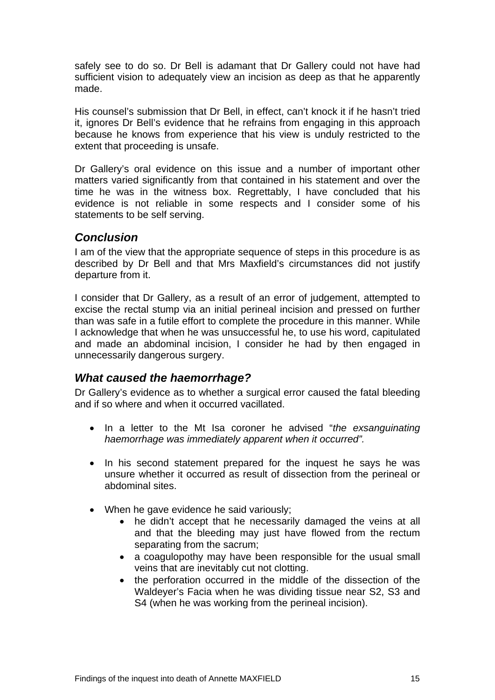<span id="page-16-0"></span>safely see to do so. Dr Bell is adamant that Dr Gallery could not have had sufficient vision to adequately view an incision as deep as that he apparently made.

His counsel's submission that Dr Bell, in effect, can't knock it if he hasn't tried it, ignores Dr Bell's evidence that he refrains from engaging in this approach because he knows from experience that his view is unduly restricted to the extent that proceeding is unsafe.

Dr Gallery's oral evidence on this issue and a number of important other matters varied significantly from that contained in his statement and over the time he was in the witness box. Regrettably, I have concluded that his evidence is not reliable in some respects and I consider some of his statements to be self serving.

## *Conclusion*

I am of the view that the appropriate sequence of steps in this procedure is as described by Dr Bell and that Mrs Maxfield's circumstances did not justify departure from it.

I consider that Dr Gallery, as a result of an error of judgement, attempted to excise the rectal stump via an initial perineal incision and pressed on further than was safe in a futile effort to complete the procedure in this manner. While I acknowledge that when he was unsuccessful he, to use his word, capitulated and made an abdominal incision, I consider he had by then engaged in unnecessarily dangerous surgery.

## *What caused the haemorrhage?*

Dr Gallery's evidence as to whether a surgical error caused the fatal bleeding and if so where and when it occurred vacillated.

- In a letter to the Mt Isa coroner he advised "*the exsanguinating haemorrhage was immediately apparent when it occurred".*
- In his second statement prepared for the inquest he says he was unsure whether it occurred as result of dissection from the perineal or abdominal sites.
- When he gave evidence he said variously;
	- he didn't accept that he necessarily damaged the veins at all and that the bleeding may just have flowed from the rectum separating from the sacrum;
	- a coagulopothy may have been responsible for the usual small veins that are inevitably cut not clotting.
	- the perforation occurred in the middle of the dissection of the Waldeyer's Facia when he was dividing tissue near S2, S3 and S4 (when he was working from the perineal incision).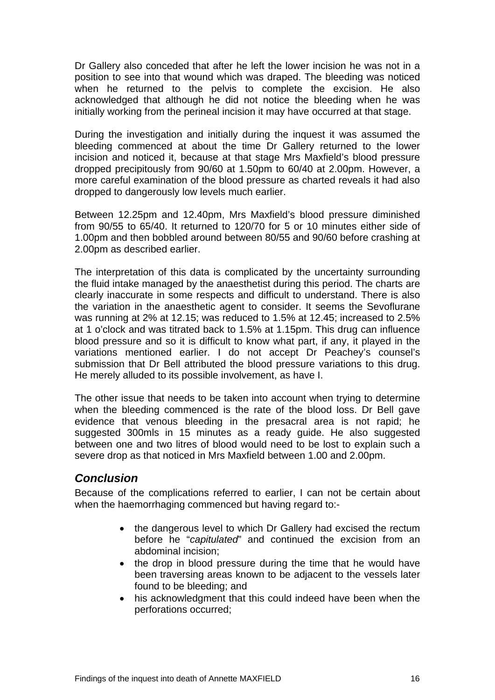<span id="page-17-0"></span>Dr Gallery also conceded that after he left the lower incision he was not in a position to see into that wound which was draped. The bleeding was noticed when he returned to the pelvis to complete the excision. He also acknowledged that although he did not notice the bleeding when he was initially working from the perineal incision it may have occurred at that stage.

During the investigation and initially during the inquest it was assumed the bleeding commenced at about the time Dr Gallery returned to the lower incision and noticed it, because at that stage Mrs Maxfield's blood pressure dropped precipitously from 90/60 at 1.50pm to 60/40 at 2.00pm. However, a more careful examination of the blood pressure as charted reveals it had also dropped to dangerously low levels much earlier.

Between 12.25pm and 12.40pm, Mrs Maxfield's blood pressure diminished from 90/55 to 65/40. It returned to 120/70 for 5 or 10 minutes either side of 1.00pm and then bobbled around between 80/55 and 90/60 before crashing at 2.00pm as described earlier.

The interpretation of this data is complicated by the uncertainty surrounding the fluid intake managed by the anaesthetist during this period. The charts are clearly inaccurate in some respects and difficult to understand. There is also the variation in the anaesthetic agent to consider. It seems the Sevoflurane was running at 2% at 12.15; was reduced to 1.5% at 12.45; increased to 2.5% at 1 o'clock and was titrated back to 1.5% at 1.15pm. This drug can influence blood pressure and so it is difficult to know what part, if any, it played in the variations mentioned earlier. I do not accept Dr Peachey's counsel's submission that Dr Bell attributed the blood pressure variations to this drug. He merely alluded to its possible involvement, as have I.

The other issue that needs to be taken into account when trying to determine when the bleeding commenced is the rate of the blood loss. Dr Bell gave evidence that venous bleeding in the presacral area is not rapid; he suggested 300mls in 15 minutes as a ready guide. He also suggested between one and two litres of blood would need to be lost to explain such a severe drop as that noticed in Mrs Maxfield between 1.00 and 2.00pm.

## *Conclusion*

Because of the complications referred to earlier, I can not be certain about when the haemorrhaging commenced but having regard to:-

- the dangerous level to which Dr Gallery had excised the rectum before he "*capitulated*" and continued the excision from an abdominal incision;
- the drop in blood pressure during the time that he would have been traversing areas known to be adjacent to the vessels later found to be bleeding; and
- his acknowledgment that this could indeed have been when the perforations occurred;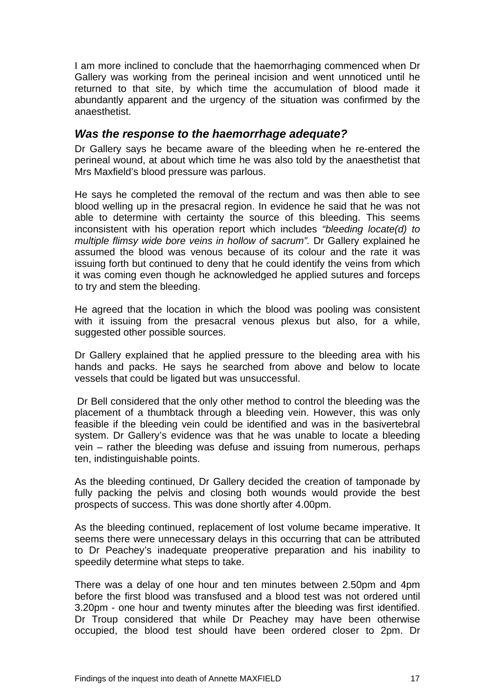<span id="page-18-0"></span>I am more inclined to conclude that the haemorrhaging commenced when Dr Gallery was working from the perineal incision and went unnoticed until he returned to that site, by which time the accumulation of blood made it abundantly apparent and the urgency of the situation was confirmed by the anaesthetist.

#### *Was the response to the haemorrhage adequate?*

Dr Gallery says he became aware of the bleeding when he re-entered the perineal wound, at about which time he was also told by the anaesthetist that Mrs Maxfield's blood pressure was parlous.

He says he completed the removal of the rectum and was then able to see blood welling up in the presacral region. In evidence he said that he was not able to determine with certainty the source of this bleeding. This seems inconsistent with his operation report which includes *"bleeding locate(d) to multiple flimsy wide bore veins in hollow of sacrum".* Dr Gallery explained he assumed the blood was venous because of its colour and the rate it was issuing forth but continued to deny that he could identify the veins from which it was coming even though he acknowledged he applied sutures and forceps to try and stem the bleeding.

He agreed that the location in which the blood was pooling was consistent with it issuing from the presacral venous plexus but also, for a while, suggested other possible sources.

Dr Gallery explained that he applied pressure to the bleeding area with his hands and packs. He says he searched from above and below to locate vessels that could be ligated but was unsuccessful.

Dr Bell considered that the only other method to control the bleeding was the placement of a thumbtack through a bleeding vein. However, this was only feasible if the bleeding vein could be identified and was in the basivertebral system. Dr Gallery's evidence was that he was unable to locate a bleeding vein – rather the bleeding was defuse and issuing from numerous, perhaps ten, indistinguishable points.

As the bleeding continued, Dr Gallery decided the creation of tamponade by fully packing the pelvis and closing both wounds would provide the best prospects of success. This was done shortly after 4.00pm.

As the bleeding continued, replacement of lost volume became imperative. It seems there were unnecessary delays in this occurring that can be attributed to Dr Peachey's inadequate preoperative preparation and his inability to speedily determine what steps to take.

There was a delay of one hour and ten minutes between 2.50pm and 4pm before the first blood was transfused and a blood test was not ordered until 3.20pm - one hour and twenty minutes after the bleeding was first identified. Dr Troup considered that while Dr Peachey may have been otherwise occupied, the blood test should have been ordered closer to 2pm. Dr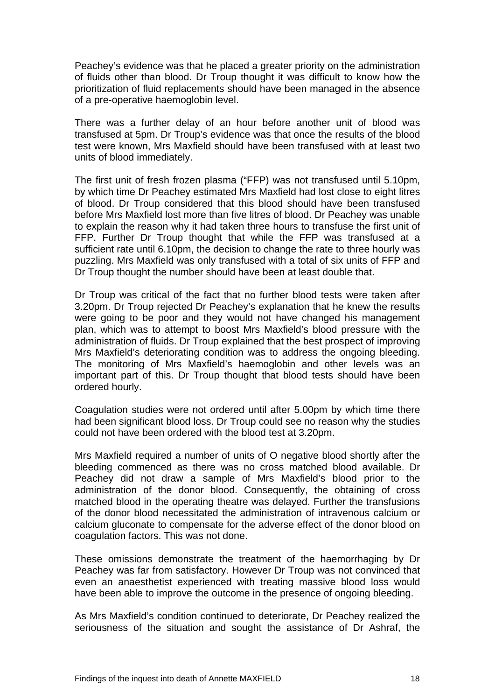Peachey's evidence was that he placed a greater priority on the administration of fluids other than blood. Dr Troup thought it was difficult to know how the prioritization of fluid replacements should have been managed in the absence of a pre-operative haemoglobin level.

There was a further delay of an hour before another unit of blood was transfused at 5pm. Dr Troup's evidence was that once the results of the blood test were known, Mrs Maxfield should have been transfused with at least two units of blood immediately.

The first unit of fresh frozen plasma ("FFP) was not transfused until 5.10pm, by which time Dr Peachey estimated Mrs Maxfield had lost close to eight litres of blood. Dr Troup considered that this blood should have been transfused before Mrs Maxfield lost more than five litres of blood. Dr Peachey was unable to explain the reason why it had taken three hours to transfuse the first unit of FFP. Further Dr Troup thought that while the FFP was transfused at a sufficient rate until 6.10pm, the decision to change the rate to three hourly was puzzling. Mrs Maxfield was only transfused with a total of six units of FFP and Dr Troup thought the number should have been at least double that.

Dr Troup was critical of the fact that no further blood tests were taken after 3.20pm. Dr Troup rejected Dr Peachey's explanation that he knew the results were going to be poor and they would not have changed his management plan, which was to attempt to boost Mrs Maxfield's blood pressure with the administration of fluids. Dr Troup explained that the best prospect of improving Mrs Maxfield's deteriorating condition was to address the ongoing bleeding. The monitoring of Mrs Maxfield's haemoglobin and other levels was an important part of this. Dr Troup thought that blood tests should have been ordered hourly.

Coagulation studies were not ordered until after 5.00pm by which time there had been significant blood loss. Dr Troup could see no reason why the studies could not have been ordered with the blood test at 3.20pm.

Mrs Maxfield required a number of units of O negative blood shortly after the bleeding commenced as there was no cross matched blood available. Dr Peachey did not draw a sample of Mrs Maxfield's blood prior to the administration of the donor blood. Consequently, the obtaining of cross matched blood in the operating theatre was delayed. Further the transfusions of the donor blood necessitated the administration of intravenous calcium or calcium gluconate to compensate for the adverse effect of the donor blood on coagulation factors. This was not done.

These omissions demonstrate the treatment of the haemorrhaging by Dr Peachey was far from satisfactory. However Dr Troup was not convinced that even an anaesthetist experienced with treating massive blood loss would have been able to improve the outcome in the presence of ongoing bleeding.

As Mrs Maxfield's condition continued to deteriorate, Dr Peachey realized the seriousness of the situation and sought the assistance of Dr Ashraf, the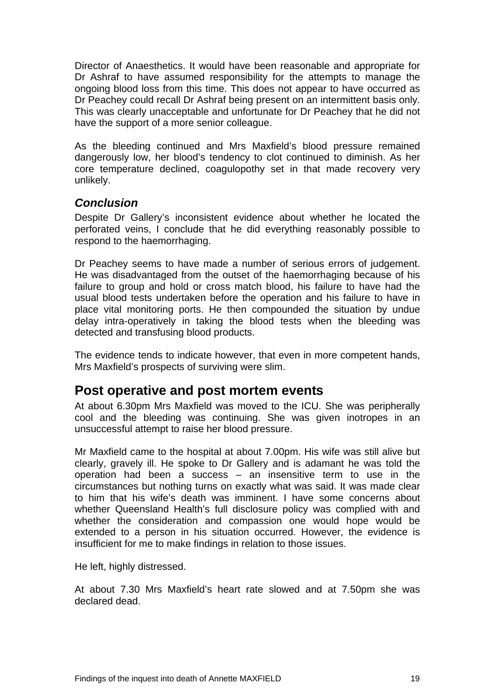<span id="page-20-0"></span>Director of Anaesthetics. It would have been reasonable and appropriate for Dr Ashraf to have assumed responsibility for the attempts to manage the ongoing blood loss from this time. This does not appear to have occurred as Dr Peachey could recall Dr Ashraf being present on an intermittent basis only. This was clearly unacceptable and unfortunate for Dr Peachey that he did not have the support of a more senior colleague.

As the bleeding continued and Mrs Maxfield's blood pressure remained dangerously low, her blood's tendency to clot continued to diminish. As her core temperature declined, coagulopothy set in that made recovery very unlikely.

#### *Conclusion*

Despite Dr Gallery's inconsistent evidence about whether he located the perforated veins, I conclude that he did everything reasonably possible to respond to the haemorrhaging.

Dr Peachey seems to have made a number of serious errors of judgement. He was disadvantaged from the outset of the haemorrhaging because of his failure to group and hold or cross match blood, his failure to have had the usual blood tests undertaken before the operation and his failure to have in place vital monitoring ports. He then compounded the situation by undue delay intra-operatively in taking the blood tests when the bleeding was detected and transfusing blood products.

The evidence tends to indicate however, that even in more competent hands, Mrs Maxfield's prospects of surviving were slim.

## **Post operative and post mortem events**

At about 6.30pm Mrs Maxfield was moved to the ICU. She was peripherally cool and the bleeding was continuing. She was given inotropes in an unsuccessful attempt to raise her blood pressure.

Mr Maxfield came to the hospital at about 7.00pm. His wife was still alive but clearly, gravely ill. He spoke to Dr Gallery and is adamant he was told the operation had been a success – an insensitive term to use in the circumstances but nothing turns on exactly what was said. It was made clear to him that his wife's death was imminent. I have some concerns about whether Queensland Health's full disclosure policy was complied with and whether the consideration and compassion one would hope would be extended to a person in his situation occurred. However, the evidence is insufficient for me to make findings in relation to those issues.

He left, highly distressed.

At about 7.30 Mrs Maxfield's heart rate slowed and at 7.50pm she was declared dead.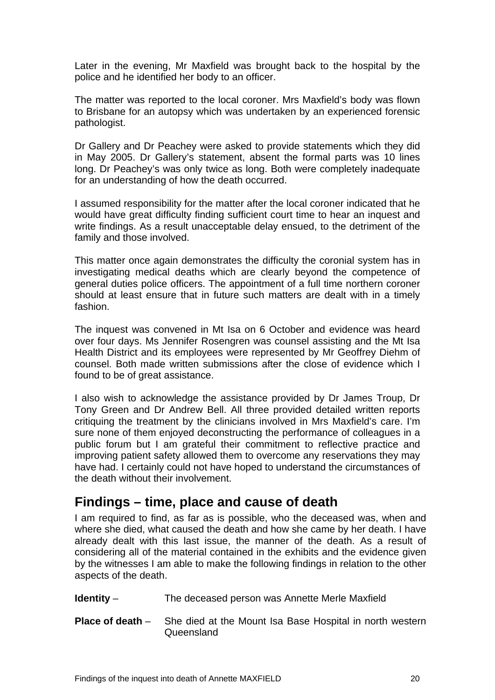<span id="page-21-0"></span>Later in the evening, Mr Maxfield was brought back to the hospital by the police and he identified her body to an officer.

The matter was reported to the local coroner. Mrs Maxfield's body was flown to Brisbane for an autopsy which was undertaken by an experienced forensic pathologist.

Dr Gallery and Dr Peachey were asked to provide statements which they did in May 2005. Dr Gallery's statement, absent the formal parts was 10 lines long. Dr Peachey's was only twice as long. Both were completely inadequate for an understanding of how the death occurred.

I assumed responsibility for the matter after the local coroner indicated that he would have great difficulty finding sufficient court time to hear an inquest and write findings. As a result unacceptable delay ensued, to the detriment of the family and those involved.

This matter once again demonstrates the difficulty the coronial system has in investigating medical deaths which are clearly beyond the competence of general duties police officers. The appointment of a full time northern coroner should at least ensure that in future such matters are dealt with in a timely fashion.

The inquest was convened in Mt Isa on 6 October and evidence was heard over four days. Ms Jennifer Rosengren was counsel assisting and the Mt Isa Health District and its employees were represented by Mr Geoffrey Diehm of counsel. Both made written submissions after the close of evidence which I found to be of great assistance.

I also wish to acknowledge the assistance provided by Dr James Troup, Dr Tony Green and Dr Andrew Bell. All three provided detailed written reports critiquing the treatment by the clinicians involved in Mrs Maxfield's care. I'm sure none of them enjoyed deconstructing the performance of colleagues in a public forum but I am grateful their commitment to reflective practice and improving patient safety allowed them to overcome any reservations they may have had. I certainly could not have hoped to understand the circumstances of the death without their involvement.

# **Findings – time, place and cause of death**

I am required to find, as far as is possible, who the deceased was, when and where she died, what caused the death and how she came by her death. I have already dealt with this last issue, the manner of the death. As a result of considering all of the material contained in the exhibits and the evidence given by the witnesses I am able to make the following findings in relation to the other aspects of the death.

**Identity** – The deceased person was Annette Merle Maxfield

**Place of death** – She died at the Mount Isa Base Hospital in north western Queensland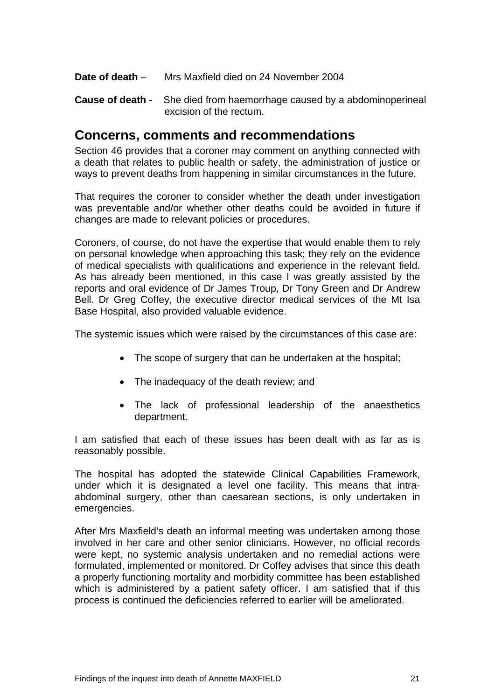- <span id="page-22-0"></span>**Date of death** – Mrs Maxfield died on 24 November 2004
- **Cause of death** She died from haemorrhage caused by a abdominoperineal excision of the rectum.

## **Concerns, comments and recommendations**

Section 46 provides that a coroner may comment on anything connected with a death that relates to public health or safety, the administration of justice or ways to prevent deaths from happening in similar circumstances in the future.

That requires the coroner to consider whether the death under investigation was preventable and/or whether other deaths could be avoided in future if changes are made to relevant policies or procedures.

Coroners, of course, do not have the expertise that would enable them to rely on personal knowledge when approaching this task; they rely on the evidence of medical specialists with qualifications and experience in the relevant field. As has already been mentioned, in this case I was greatly assisted by the reports and oral evidence of Dr James Troup, Dr Tony Green and Dr Andrew Bell. Dr Greg Coffey, the executive director medical services of the Mt Isa Base Hospital, also provided valuable evidence.

The systemic issues which were raised by the circumstances of this case are:

- The scope of surgery that can be undertaken at the hospital;
- The inadequacy of the death review; and
- The lack of professional leadership of the anaesthetics department.

I am satisfied that each of these issues has been dealt with as far as is reasonably possible.

The hospital has adopted the statewide Clinical Capabilities Framework, under which it is designated a level one facility. This means that intraabdominal surgery, other than caesarean sections, is only undertaken in emergencies.

After Mrs Maxfield's death an informal meeting was undertaken among those involved in her care and other senior clinicians. However, no official records were kept, no systemic analysis undertaken and no remedial actions were formulated, implemented or monitored. Dr Coffey advises that since this death a properly functioning mortality and morbidity committee has been established which is administered by a patient safety officer. I am satisfied that if this process is continued the deficiencies referred to earlier will be ameliorated.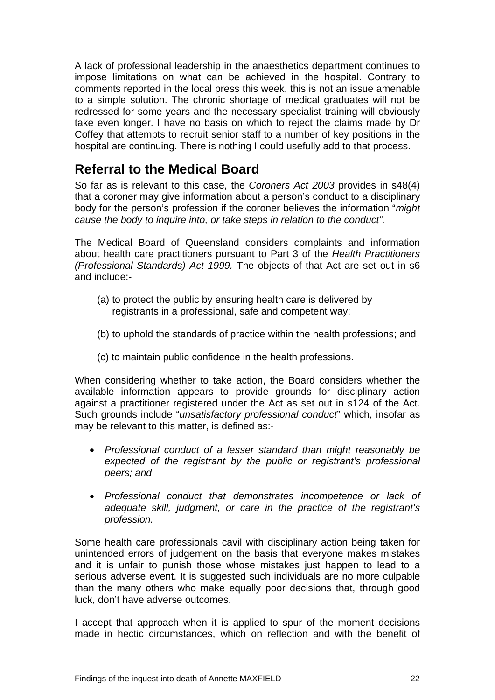<span id="page-23-0"></span>A lack of professional leadership in the anaesthetics department continues to impose limitations on what can be achieved in the hospital. Contrary to comments reported in the local press this week, this is not an issue amenable to a simple solution. The chronic shortage of medical graduates will not be redressed for some years and the necessary specialist training will obviously take even longer. I have no basis on which to reject the claims made by Dr Coffey that attempts to recruit senior staff to a number of key positions in the hospital are continuing. There is nothing I could usefully add to that process.

# **Referral to the Medical Board**

So far as is relevant to this case, the *Coroners Act 2003* provides in s48(4) that a coroner may give information about a person's conduct to a disciplinary body for the person's profession if the coroner believes the information "*might cause the body to inquire into, or take steps in relation to the conduct".*

The Medical Board of Queensland considers complaints and information about health care practitioners pursuant to Part 3 of the *Health Practitioners (Professional Standards) Act 1999.* The objects of that Act are set out in s6 and include:-

- (a) to protect the public by ensuring health care is delivered by registrants in a professional, safe and competent way;
- (b) to uphold the standards of practice within the health professions; and
- (c) to maintain public confidence in the health professions.

When considering whether to take action, the Board considers whether the available information appears to provide grounds for disciplinary action against a practitioner registered under the Act as set out in s124 of the Act. Such grounds include "*unsatisfactory professional conduct*" which, insofar as may be relevant to this matter, is defined as:-

- *Professional conduct of a lesser standard than might reasonably be expected of the registrant by the public or registrant's professional peers; and*
- *Professional conduct that demonstrates incompetence or lack of adequate skill, judgment, or care in the practice of the registrant's profession.*

Some health care professionals cavil with disciplinary action being taken for unintended errors of judgement on the basis that everyone makes mistakes and it is unfair to punish those whose mistakes just happen to lead to a serious adverse event. It is suggested such individuals are no more culpable than the many others who make equally poor decisions that, through good luck, don't have adverse outcomes.

I accept that approach when it is applied to spur of the moment decisions made in hectic circumstances, which on reflection and with the benefit of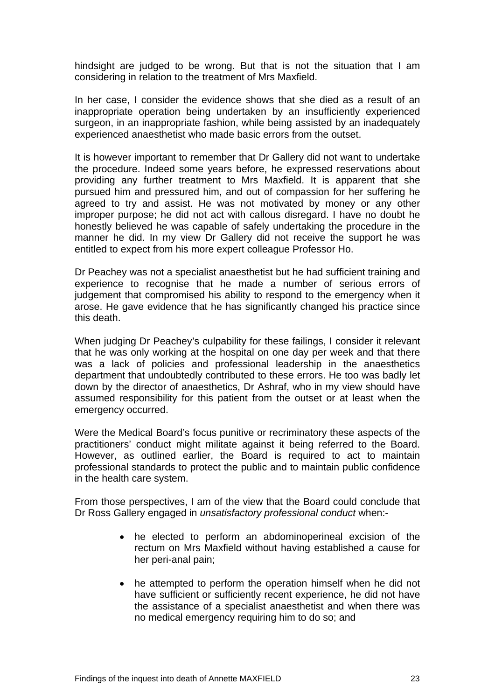hindsight are judged to be wrong. But that is not the situation that I am considering in relation to the treatment of Mrs Maxfield.

In her case, I consider the evidence shows that she died as a result of an inappropriate operation being undertaken by an insufficiently experienced surgeon, in an inappropriate fashion, while being assisted by an inadequately experienced anaesthetist who made basic errors from the outset.

It is however important to remember that Dr Gallery did not want to undertake the procedure. Indeed some years before, he expressed reservations about providing any further treatment to Mrs Maxfield. It is apparent that she pursued him and pressured him, and out of compassion for her suffering he agreed to try and assist. He was not motivated by money or any other improper purpose; he did not act with callous disregard. I have no doubt he honestly believed he was capable of safely undertaking the procedure in the manner he did. In my view Dr Gallery did not receive the support he was entitled to expect from his more expert colleague Professor Ho.

Dr Peachey was not a specialist anaesthetist but he had sufficient training and experience to recognise that he made a number of serious errors of judgement that compromised his ability to respond to the emergency when it arose. He gave evidence that he has significantly changed his practice since this death.

When judging Dr Peachey's culpability for these failings, I consider it relevant that he was only working at the hospital on one day per week and that there was a lack of policies and professional leadership in the anaesthetics department that undoubtedly contributed to these errors. He too was badly let down by the director of anaesthetics, Dr Ashraf, who in my view should have assumed responsibility for this patient from the outset or at least when the emergency occurred.

Were the Medical Board's focus punitive or recriminatory these aspects of the practitioners' conduct might militate against it being referred to the Board. However, as outlined earlier, the Board is required to act to maintain professional standards to protect the public and to maintain public confidence in the health care system.

From those perspectives, I am of the view that the Board could conclude that Dr Ross Gallery engaged in *unsatisfactory professional conduct* when:-

- he elected to perform an abdominoperineal excision of the rectum on Mrs Maxfield without having established a cause for her peri-anal pain;
- he attempted to perform the operation himself when he did not have sufficient or sufficiently recent experience, he did not have the assistance of a specialist anaesthetist and when there was no medical emergency requiring him to do so; and